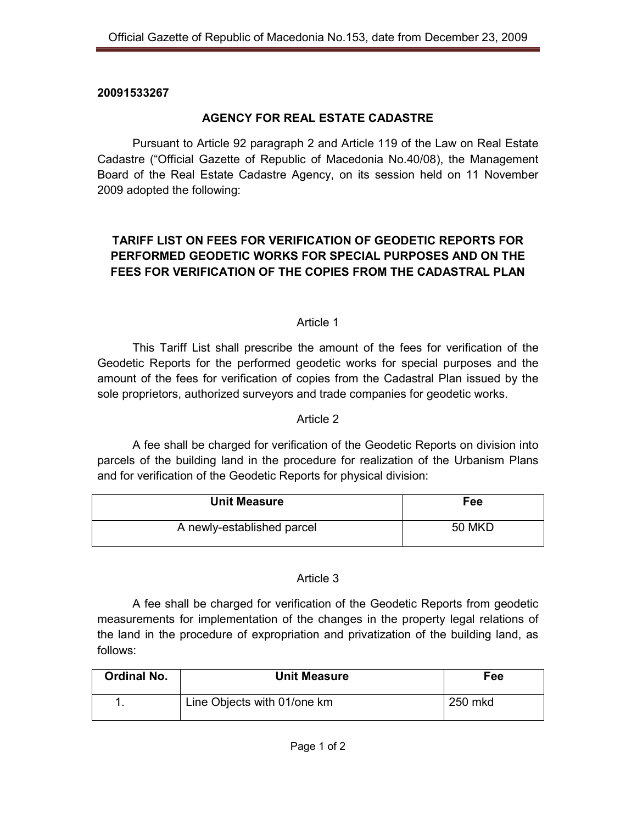## **20091533267**

# **AGENCY FOR REAL ESTATE CADASTRE**

 Pursuant to Article 92 paragraph 2 and Article 119 of the Law on Real Estate Cadastre ("Official Gazette of Republic of Macedonia No.40/08), the Management Board of the Real Estate Cadastre Agency, on its session held on 11 November 2009 adopted the following:

# **TARIFF LIST ON FEES FOR VERIFICATION OF GEODETIC REPORTS FOR PERFORMED GEODETIC WORKS FOR SPECIAL PURPOSES AND ON THE FEES FOR VERIFICATION OF THE COPIES FROM THE CADASTRAL PLAN**

## Article 1

This Tariff List shall prescribe the amount of the fees for verification of the Geodetic Reports for the performed geodetic works for special purposes and the amount of the fees for verification of copies from the Cadastral Plan issued by the sole proprietors, authorized surveyors and trade companies for geodetic works.

## Article 2

A fee shall be charged for verification of the Geodetic Reports on division into parcels of the building land in the procedure for realization of the Urbanism Plans and for verification of the Geodetic Reports for physical division:

| <b>Unit Measure</b>        | Fee           |
|----------------------------|---------------|
| A newly-established parcel | <b>50 MKD</b> |

#### Article 3

A fee shall be charged for verification of the Geodetic Reports from geodetic measurements for implementation of the changes in the property legal relations of the land in the procedure of expropriation and privatization of the building land, as follows:

| <b>Ordinal No.</b> | <b>Unit Measure</b>         | Fee     |
|--------------------|-----------------------------|---------|
|                    | Line Objects with 01/one km | 250 mkd |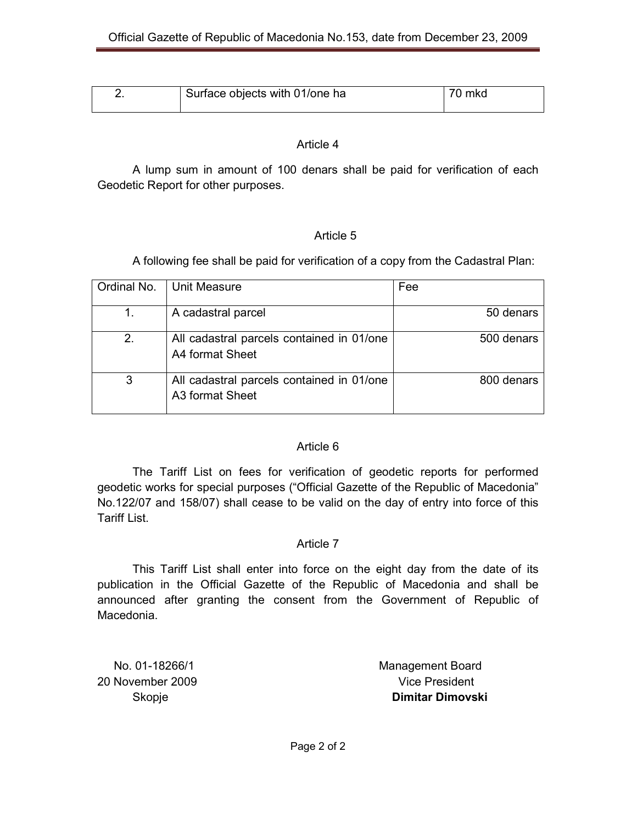| Surface objects with 01/one ha | 70 mkd |
|--------------------------------|--------|
|                                |        |

### Article 4

A lump sum in amount of 100 denars shall be paid for verification of each Geodetic Report for other purposes.

## Article 5

A following fee shall be paid for verification of a copy from the Cadastral Plan:

| Ordinal No. | Unit Measure                                                             | Fee        |
|-------------|--------------------------------------------------------------------------|------------|
|             | A cadastral parcel                                                       | 50 denars  |
| 2.          | All cadastral parcels contained in 01/one<br>A4 format Sheet             | 500 denars |
| 3           | All cadastral parcels contained in 01/one<br>A <sub>3</sub> format Sheet | 800 denars |

## Article 6

The Tariff List on fees for verification of geodetic reports for performed geodetic works for special purposes ("Official Gazette of the Republic of Macedonia" No.122/07 and 158/07) shall cease to be valid on the day of entry into force of this Tariff List.

## Article 7

This Tariff List shall enter into force on the eight day from the date of its publication in the Official Gazette of the Republic of Macedonia and shall be announced after granting the consent from the Government of Republic of Macedonia.

20 November 2009 **Vice President** 

No. 01-18266/1 Management Board Skopje **Dimitar Dimovski**